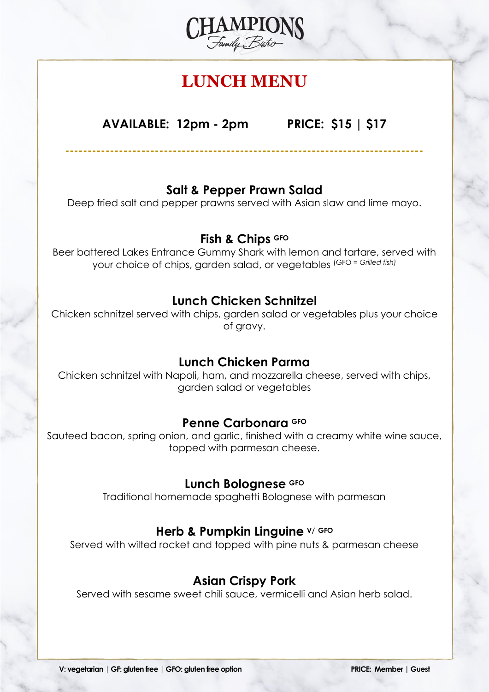

# **LUNCH MENU**

**AVAILABLE: 12pm - 2pm PRICE: \$15 | \$17**

# **Salt & Pepper Prawn Salad**

**--------------------------------------------------------------------------------**

Deep fried salt and pepper prawns served with Asian slaw and lime mayo.

#### **Fish & Chips GFO**

Beer battered Lakes Entrance Gummy Shark with lemon and tartare, served with your choice of chips, garden salad, or vegetables (GFO *= Grilled fish)*

#### **Lunch Chicken Schnitzel**

Chicken schnitzel served with chips, garden salad or vegetables plus your choice of gravy.

#### **Lunch Chicken Parma**

Chicken schnitzel with Napoli, ham, and mozzarella cheese, served with chips, garden salad or vegetables

#### **Penne Carbonara GFO**

Sauteed bacon, spring onion, and garlic, finished with a creamy white wine sauce, topped with parmesan cheese.

#### **Lunch Bolognese GFO**

Traditional homemade spaghetti Bolognese with parmesan

#### **Herb & Pumpkin Linguine V/ GFO**

Served with wilted rocket and topped with pine nuts & parmesan cheese

## **Asian Crispy Pork**

Served with sesame sweet chili sauce, vermicelli and Asian herb salad.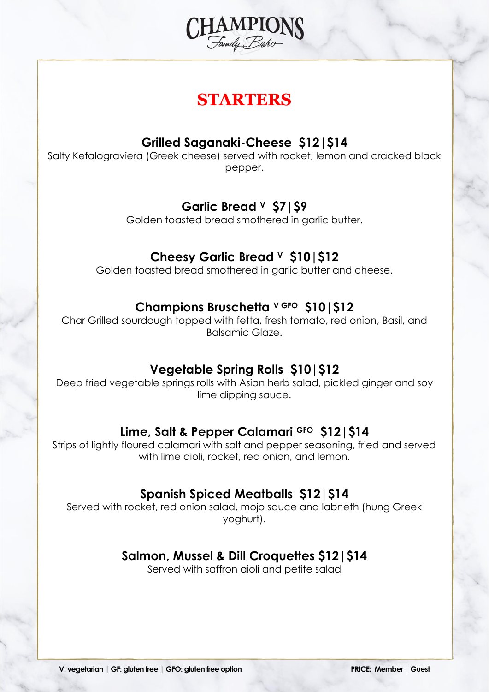

# **STARTERS**

## **Grilled Saganaki-Cheese \$12|\$14**

Salty Kefalograviera (Greek cheese) served with rocket, lemon and cracked black pepper.

# **Garlic Bread <sup>V</sup> \$7|\$9**

Golden toasted bread smothered in garlic butter.

# **Cheesy Garlic Bread <sup>V</sup> \$10|\$12**

Golden toasted bread smothered in garlic butter and cheese.

#### **Champions Bruschetta <sup>V</sup> GFO \$10|\$12**

Char Grilled sourdough topped with fetta, fresh tomato, red onion, Basil, and Balsamic Glaze.

## **Vegetable Spring Rolls \$10|\$12**

Deep fried vegetable springs rolls with Asian herb salad, pickled ginger and soy lime dipping sauce.

## **Lime, Salt & Pepper Calamari GFO \$12|\$14**

Strips of lightly floured calamari with salt and pepper seasoning, fried and served with lime aioli, rocket, red onion, and lemon.

## **Spanish Spiced Meatballs \$12|\$14**

Served with rocket, red onion salad, mojo sauce and labneth (hung Greek yoghurt).

## **Salmon, Mussel & Dill Croquettes \$12|\$14**

Served with saffron aioli and petite salad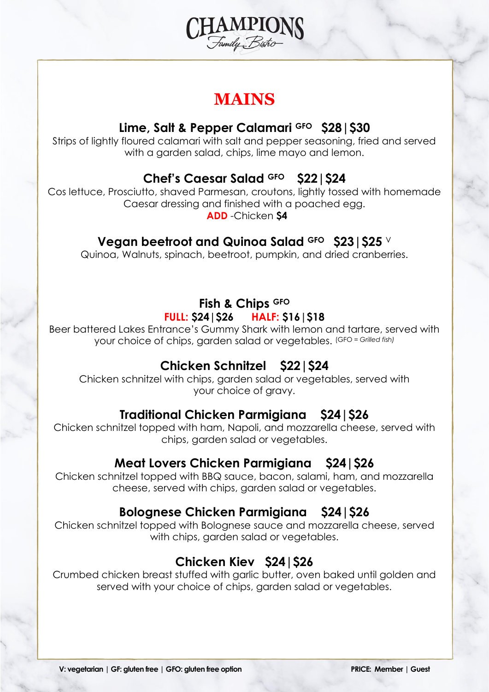

# **MAINS**

## **Lime, Salt & Pepper Calamari GFO \$28|\$30**

Strips of lightly floured calamari with salt and pepper seasoning, fried and served with a garden salad, chips, lime mayo and lemon.

# **Chef's Caesar Salad GFO \$22|\$24**

Cos lettuce, Prosciutto, shaved Parmesan, croutons, lightly tossed with homemade Caesar dressing and finished with a poached egg.

**ADD** -Chicken **\$4**

# **Vegan beetroot and Quinoa Salad GFO \$23|\$25** <sup>V</sup>

Quinoa, Walnuts, spinach, beetroot, pumpkin, and dried cranberries.

# **Fish & Chips GFO**

#### **FULL: \$24|\$26 HALF: \$16|\$18**

Beer battered Lakes Entrance's Gummy Shark with lemon and tartare, served with your choice of chips, garden salad or vegetables. (GFO *= Grilled fish)*

# **Chicken Schnitzel \$22|\$24**

Chicken schnitzel with chips, garden salad or vegetables, served with your choice of gravy.

# **Traditional Chicken Parmigiana \$24|\$26**

Chicken schnitzel topped with ham, Napoli, and mozzarella cheese, served with chips, garden salad or vegetables.

## **Meat Lovers Chicken Parmigiana \$24|\$26**

Chicken schnitzel topped with BBQ sauce, bacon, salami, ham, and mozzarella cheese, served with chips, garden salad or vegetables.

# **Bolognese Chicken Parmigiana \$24|\$26**

Chicken schnitzel topped with Bolognese sauce and mozzarella cheese, served with chips, garden salad or vegetables.

# **Chicken Kiev \$24|\$26**

Crumbed chicken breast stuffed with garlic butter, oven baked until golden and served with your choice of chips, garden salad or vegetables.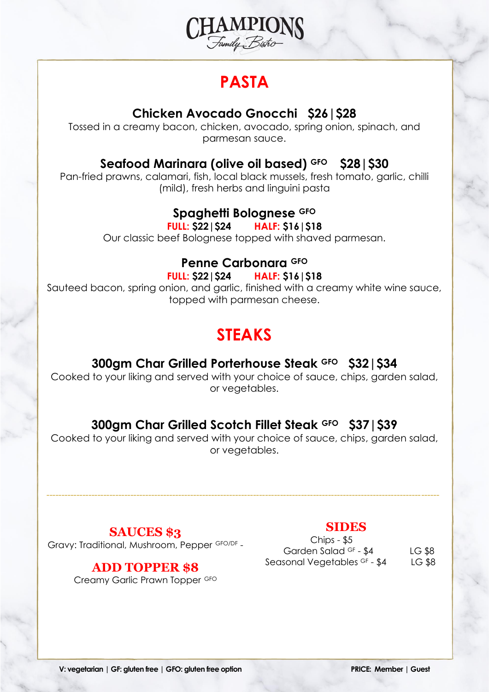

# **PASTA**

# **Chicken Avocado Gnocchi \$26|\$28**

Tossed in a creamy bacon, chicken, avocado, spring onion, spinach, and parmesan sauce.

## **Seafood Marinara (olive oil based) GFO \$28|\$30**

Pan-fried prawns, calamari, fish, local black mussels, fresh tomato, garlic, chilli (mild), fresh herbs and linguini pasta

# **Spaghetti Bolognese GFO**

**FULL: \$22|\$24 HALF: \$16|\$18**

Our classic beef Bolognese topped with shaved parmesan.

# **Penne Carbonara GFO**

**FULL: \$22|\$24 HALF: \$16|\$18**

Sauteed bacon, spring onion, and garlic, finished with a creamy white wine sauce, topped with parmesan cheese.

# **STEAKS**

#### **300gm Char Grilled Porterhouse Steak GFO \$32|\$34**

Cooked to your liking and served with your choice of sauce, chips, garden salad, or vegetables.

# **300gm Char Grilled Scotch Fillet Steak GFO \$37|\$39**

Cooked to your liking and served with your choice of sauce, chips, garden salad, or vegetables.

-----------------------------------------------------------------------------------------------------------------------------------

#### **SAUCES \$3**

Gravy: Traditional, Mushroom, Pepper GFO/DF -

#### **ADD TOPPER \$8**

Creamy Garlic Prawn Topper GFO

#### **SIDES**

 Chips - \$5 Garden Salad <sup>GF</sup> - \$4 LG \$8 Seasonal Vegetables <sup>GF</sup> - \$4 LG \$8